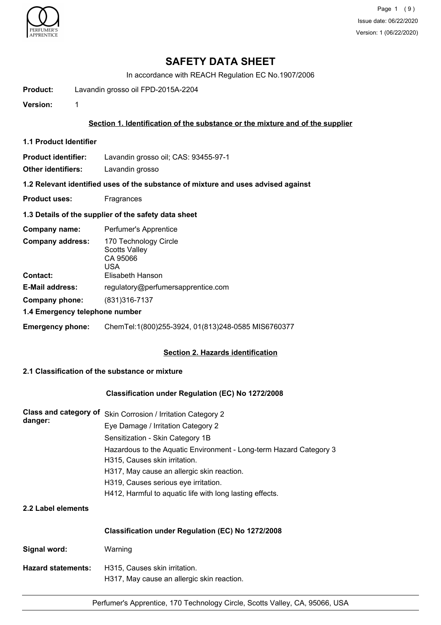

Page 1 (9) Issue date: 06/22/2020 Version: 1 (06/22/2020)

## **SAFETY DATA SHEET**

In accordance with REACH Regulation EC No.1907/2006

**Product:** Lavandin grosso oil FPD-2015A-2204

**Version:** 1

#### **Section 1. Identification of the substance or the mixture and of the supplier**

**1.1 Product Identifier**

**Product identifier:** Lavandin grosso oil; CAS: 93455-97-1

**Other identifiers:** Lavandin grosso

**1.2 Relevant identified uses of the substance of mixture and uses advised against**

**Product uses:** Fragrances

#### **1.3 Details of the supplier of the safety data sheet**

| Company name:                              | Perfumer's Apprentice                                                                |
|--------------------------------------------|--------------------------------------------------------------------------------------|
| <b>Company address:</b><br><b>Contact:</b> | 170 Technology Circle<br><b>Scotts Valley</b><br>CA 95066<br>USA<br>Elisabeth Hanson |
| <b>E-Mail address:</b>                     | regulatory@perfumersapprentice.com                                                   |
| Company phone:                             | (831) 316 - 7137                                                                     |
| 1.4 Emergency telephone number             |                                                                                      |
| <b>Emergency phone:</b>                    | ChemTel:1(800)255-3924, 01(813)248-0585 MIS6760377                                   |

### **Section 2. Hazards identification**

## **2.1 Classification of the substance or mixture**

#### **Classification under Regulation (EC) No 1272/2008**

| Class and category of<br>danger: | Skin Corrosion / Irritation Category 2                                                              |  |  |  |
|----------------------------------|-----------------------------------------------------------------------------------------------------|--|--|--|
|                                  | Eye Damage / Irritation Category 2                                                                  |  |  |  |
|                                  | Sensitization - Skin Category 1B                                                                    |  |  |  |
|                                  | Hazardous to the Aquatic Environment - Long-term Hazard Category 3<br>H315, Causes skin irritation. |  |  |  |
|                                  | H317, May cause an allergic skin reaction.                                                          |  |  |  |
|                                  | H319, Causes serious eye irritation.                                                                |  |  |  |
|                                  | H412, Harmful to aquatic life with long lasting effects.                                            |  |  |  |
| 2.2 Label elements               |                                                                                                     |  |  |  |
|                                  | Classification under Regulation (EC) No 1272/2008                                                   |  |  |  |
| Signal word:                     | Warning                                                                                             |  |  |  |
| <b>Hazard statements:</b>        | H315, Causes skin irritation.<br>H317, May cause an allergic skin reaction.                         |  |  |  |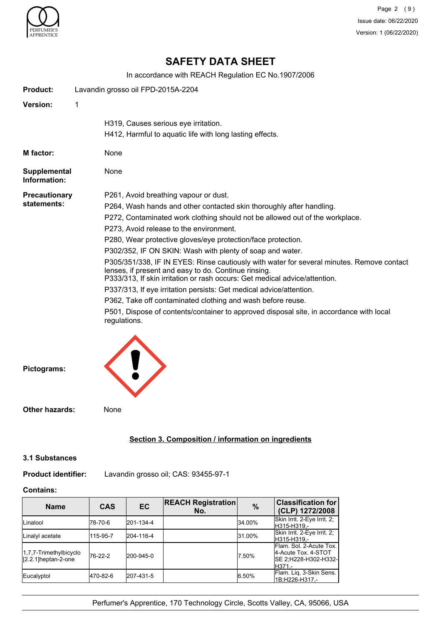

# **SAFETY DATA SHEET**

In accordance with REACH Regulation EC No.1907/2006

| <b>Product:</b>              | Lavandin grosso oil FPD-2015A-2204                                                                                                                                                                                              |
|------------------------------|---------------------------------------------------------------------------------------------------------------------------------------------------------------------------------------------------------------------------------|
| <b>Version:</b>              | 1                                                                                                                                                                                                                               |
|                              | H319, Causes serious eye irritation.                                                                                                                                                                                            |
|                              | H412, Harmful to aquatic life with long lasting effects.                                                                                                                                                                        |
| M factor:                    | None                                                                                                                                                                                                                            |
| Supplemental<br>Information: | None                                                                                                                                                                                                                            |
| <b>Precautionary</b>         | P261, Avoid breathing vapour or dust.                                                                                                                                                                                           |
| statements:                  | P264, Wash hands and other contacted skin thoroughly after handling.                                                                                                                                                            |
|                              | P272, Contaminated work clothing should not be allowed out of the workplace.                                                                                                                                                    |
|                              | P273, Avoid release to the environment.                                                                                                                                                                                         |
|                              | P280, Wear protective gloves/eye protection/face protection.                                                                                                                                                                    |
|                              | P302/352, IF ON SKIN: Wash with plenty of soap and water.                                                                                                                                                                       |
|                              | P305/351/338, IF IN EYES: Rinse cautiously with water for several minutes. Remove contact<br>lenses, if present and easy to do. Continue rinsing.<br>P333/313, If skin irritation or rash occurs: Get medical advice/attention. |
|                              | P337/313, If eye irritation persists: Get medical advice/attention.                                                                                                                                                             |
|                              | P362, Take off contaminated clothing and wash before reuse.                                                                                                                                                                     |
|                              | P501, Dispose of contents/container to approved disposal site, in accordance with local<br>regulations.                                                                                                                         |
| Pictograms:                  |                                                                                                                                                                                                                                 |
| <b>Other hazards:</b>        | None                                                                                                                                                                                                                            |

## **Section 3. Composition / information on ingredients**

#### **3.1 Substances**

**Product identifier:** Lavandin grosso oil; CAS: 93455-97-1

### **Contains:**

| <b>Name</b>                                      | <b>CAS</b> | EC        | <b>REACH Registration</b><br>No. | $\frac{0}{0}$ | <b>Classification for</b><br>(CLP) 1272/2008                                        |
|--------------------------------------------------|------------|-----------|----------------------------------|---------------|-------------------------------------------------------------------------------------|
| <b>Linalool</b>                                  | 178-70-6   | 201-134-4 |                                  | 34.00%        | Skin Irrit. 2-Eye Irrit. 2;<br>H315-H319.-                                          |
| Linalyl acetate                                  | 115-95-7   | 204-116-4 |                                  | 31.00%        | Skin Irrit. 2-Eye Irrit. 2;<br>H315-H319.-                                          |
| 1,7,7-Trimethylbicyclo<br>$[2.2.1]$ heptan-2-one | 76-22-2    | 200-945-0 |                                  | 7.50%         | Flam. Sol. 2-Acute Tox.<br>4-Acute Tox. 4-STOT<br>ISE 2:H228-H302-H332-I<br>IH371.- |
| Eucalyptol                                       | 470-82-6   | 207-431-5 |                                  | 6.50%         | Flam. Lig. 3-Skin Sens.<br>1B;H226-H317,-                                           |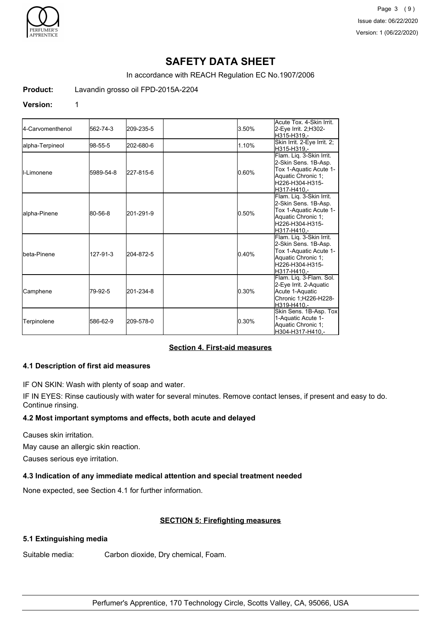

Page 3 (9) Issue date: 06/22/2020 Version: 1 (06/22/2020)

# **SAFETY DATA SHEET**

In accordance with REACH Regulation EC No.1907/2006

**Product:** Lavandin grosso oil FPD-2015A-2204

#### **Version:** 1

| 4-Carvomenthenol    | 562-74-3  | 209-235-5 | 3.50% | Acute Tox. 4-Skin Irrit.<br>2-Eye Irrit. 2;H302-<br>H315-H319.-                                                                    |
|---------------------|-----------|-----------|-------|------------------------------------------------------------------------------------------------------------------------------------|
| lalpha-Terpineol    | 98-55-5   | 202-680-6 | 1.10% | Skin Irrit. 2-Eye Irrit. 2;<br>H315-H319.-                                                                                         |
| <b>I</b> I-Limonene | 5989-54-8 | 227-815-6 | 0.60% | Flam. Liq. 3-Skin Irrit.<br>2-Skin Sens. 1B-Asp.<br>Tox 1-Aquatic Acute 1-<br>Aquatic Chronic 1;<br>H226-H304-H315-<br>H317-H410.- |
| alpha-Pinene        | 80-56-8   | 201-291-9 | 0.50% | Flam. Liq. 3-Skin Irrit.<br>2-Skin Sens. 1B-Asp.<br>Tox 1-Aquatic Acute 1-<br>Aquatic Chronic 1;<br>H226-H304-H315-<br>H317-H410.- |
| Ibeta-Pinene        | 127-91-3  | 204-872-5 | 0.40% | Flam. Liq. 3-Skin Irrit.<br>2-Skin Sens. 1B-Asp.<br>Tox 1-Aquatic Acute 1-<br>Aquatic Chronic 1;<br>H226-H304-H315-<br>H317-H410.- |
| Camphene            | 79-92-5   | 201-234-8 | 0.30% | Flam. Liq. 3-Flam. Sol.<br>2-Eye Irrit. 2-Aquatic<br>Acute 1-Aquatic<br>Chronic 1;H226-H228-<br>H319-H410.-                        |
| Terpinolene         | 586-62-9  | 209-578-0 | 0.30% | Skin Sens. 1B-Asp. Tox<br>1-Aquatic Acute 1-<br>Aquatic Chronic 1;<br>H304-H317-H410,-                                             |

#### **Section 4. First-aid measures**

#### **4.1 Description of first aid measures**

IF ON SKIN: Wash with plenty of soap and water.

IF IN EYES: Rinse cautiously with water for several minutes. Remove contact lenses, if present and easy to do. Continue rinsing.

#### **4.2 Most important symptoms and effects, both acute and delayed**

Causes skin irritation.

May cause an allergic skin reaction.

Causes serious eye irritation.

#### **4.3 Indication of any immediate medical attention and special treatment needed**

None expected, see Section 4.1 for further information.

#### **SECTION 5: Firefighting measures**

#### **5.1 Extinguishing media**

Suitable media: Carbon dioxide, Dry chemical, Foam.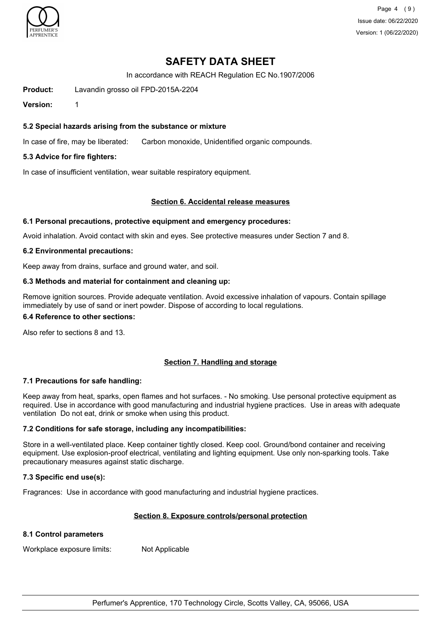

Page 4 (9) Issue date: 06/22/2020 Version: 1 (06/22/2020)

## **SAFETY DATA SHEET**

In accordance with REACH Regulation EC No.1907/2006

**Product:** Lavandin grosso oil FPD-2015A-2204

**Version:** 1

### **5.2 Special hazards arising from the substance or mixture**

In case of fire, may be liberated: Carbon monoxide, Unidentified organic compounds.

### **5.3 Advice for fire fighters:**

In case of insufficient ventilation, wear suitable respiratory equipment.

#### **Section 6. Accidental release measures**

#### **6.1 Personal precautions, protective equipment and emergency procedures:**

Avoid inhalation. Avoid contact with skin and eyes. See protective measures under Section 7 and 8.

#### **6.2 Environmental precautions:**

Keep away from drains, surface and ground water, and soil.

#### **6.3 Methods and material for containment and cleaning up:**

Remove ignition sources. Provide adequate ventilation. Avoid excessive inhalation of vapours. Contain spillage immediately by use of sand or inert powder. Dispose of according to local regulations.

#### **6.4 Reference to other sections:**

Also refer to sections 8 and 13.

### **Section 7. Handling and storage**

### **7.1 Precautions for safe handling:**

Keep away from heat, sparks, open flames and hot surfaces. - No smoking. Use personal protective equipment as required. Use in accordance with good manufacturing and industrial hygiene practices. Use in areas with adequate ventilation Do not eat, drink or smoke when using this product.

### **7.2 Conditions for safe storage, including any incompatibilities:**

Store in a well-ventilated place. Keep container tightly closed. Keep cool. Ground/bond container and receiving equipment. Use explosion-proof electrical, ventilating and lighting equipment. Use only non-sparking tools. Take precautionary measures against static discharge.

### **7.3 Specific end use(s):**

Fragrances: Use in accordance with good manufacturing and industrial hygiene practices.

### **Section 8. Exposure controls/personal protection**

### **8.1 Control parameters**

Workplace exposure limits: Not Applicable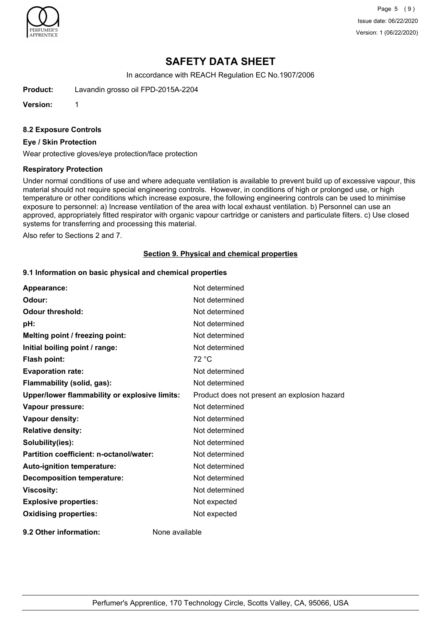

Page 5 (9) Issue date: 06/22/2020 Version: 1 (06/22/2020)

# **SAFETY DATA SHEET**

In accordance with REACH Regulation EC No.1907/2006

**Product:** Lavandin grosso oil FPD-2015A-2204

**Version:** 1

#### **8.2 Exposure Controls**

#### **Eye / Skin Protection**

Wear protective gloves/eye protection/face protection

#### **Respiratory Protection**

Under normal conditions of use and where adequate ventilation is available to prevent build up of excessive vapour, this material should not require special engineering controls. However, in conditions of high or prolonged use, or high temperature or other conditions which increase exposure, the following engineering controls can be used to minimise exposure to personnel: a) Increase ventilation of the area with local exhaust ventilation. b) Personnel can use an approved, appropriately fitted respirator with organic vapour cartridge or canisters and particulate filters. c) Use closed systems for transferring and processing this material.

Also refer to Sections 2 and 7.

#### **Section 9. Physical and chemical properties**

### **9.1 Information on basic physical and chemical properties**

| Appearance:                                   | Not determined                               |
|-----------------------------------------------|----------------------------------------------|
| Odour:                                        | Not determined                               |
| <b>Odour threshold:</b>                       | Not determined                               |
| pH:                                           | Not determined                               |
| Melting point / freezing point:               | Not determined                               |
| Initial boiling point / range:                | Not determined                               |
| <b>Flash point:</b>                           | 72 °C                                        |
| <b>Evaporation rate:</b>                      | Not determined                               |
| Flammability (solid, gas):                    | Not determined                               |
| Upper/lower flammability or explosive limits: | Product does not present an explosion hazard |
| Vapour pressure:                              | Not determined                               |
| Vapour density:                               | Not determined                               |
| <b>Relative density:</b>                      | Not determined                               |
| Solubility(ies):                              | Not determined                               |
| Partition coefficient: n-octanol/water:       | Not determined                               |
| Auto-ignition temperature:                    | Not determined                               |
| <b>Decomposition temperature:</b>             | Not determined                               |
| <b>Viscosity:</b>                             | Not determined                               |
| <b>Explosive properties:</b>                  | Not expected                                 |
| <b>Oxidising properties:</b>                  | Not expected                                 |
| 9.2 Other information:                        | None available                               |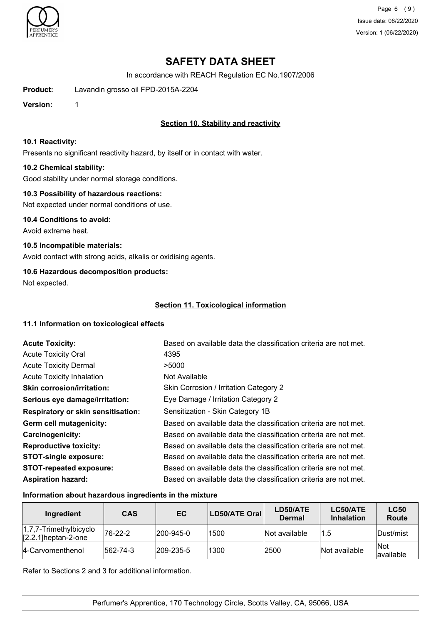

Page 6 (9) Issue date: 06/22/2020 Version: 1 (06/22/2020)

# **SAFETY DATA SHEET**

In accordance with REACH Regulation EC No.1907/2006

**Product:** Lavandin grosso oil FPD-2015A-2204

**Version:** 1

## **Section 10. Stability and reactivity**

#### **10.1 Reactivity:**

Presents no significant reactivity hazard, by itself or in contact with water.

### **10.2 Chemical stability:**

Good stability under normal storage conditions.

### **10.3 Possibility of hazardous reactions:**

Not expected under normal conditions of use.

**10.4 Conditions to avoid:** Avoid extreme heat.

**10.5 Incompatible materials:**

Avoid contact with strong acids, alkalis or oxidising agents.

## **10.6 Hazardous decomposition products:**

Not expected.

## **Section 11. Toxicological information**

### **11.1 Information on toxicological effects**

| <b>Acute Toxicity:</b>                    | Based on available data the classification criteria are not met. |
|-------------------------------------------|------------------------------------------------------------------|
| <b>Acute Toxicity Oral</b>                | 4395                                                             |
| <b>Acute Toxicity Dermal</b>              | >5000                                                            |
| <b>Acute Toxicity Inhalation</b>          | Not Available                                                    |
| <b>Skin corrosion/irritation:</b>         | Skin Corrosion / Irritation Category 2                           |
| Serious eye damage/irritation:            | Eye Damage / Irritation Category 2                               |
| <b>Respiratory or skin sensitisation:</b> | Sensitization - Skin Category 1B                                 |
| Germ cell mutagenicity:                   | Based on available data the classification criteria are not met. |
| <b>Carcinogenicity:</b>                   | Based on available data the classification criteria are not met. |
| <b>Reproductive toxicity:</b>             | Based on available data the classification criteria are not met. |
| <b>STOT-single exposure:</b>              | Based on available data the classification criteria are not met. |
| <b>STOT-repeated exposure:</b>            | Based on available data the classification criteria are not met. |
| <b>Aspiration hazard:</b>                 | Based on available data the classification criteria are not met. |

### **Information about hazardous ingredients in the mixture**

| Ingredient                                       | <b>CAS</b>       | EC                | LD50/ATE Oral | LD50/ATE<br><b>Dermal</b> | LC50/ATE<br><b>Inhalation</b> | <b>LC50</b><br>Route     |
|--------------------------------------------------|------------------|-------------------|---------------|---------------------------|-------------------------------|--------------------------|
| 1,7,7-Trimethylbicyclo<br>$[2.2.1]$ heptan-2-one | $ 76-22-2$       | $ 200 - 945 - 0 $ | 1500          | Not available             | 1.5                           | Dust/mist                |
| 14-Carvomenthenol                                | $ 562 - 74 - 3 $ | $ 209 - 235 - 5 $ | 1300          | 2500                      | Not available                 | <b>Not</b><br>lavailable |

Refer to Sections 2 and 3 for additional information.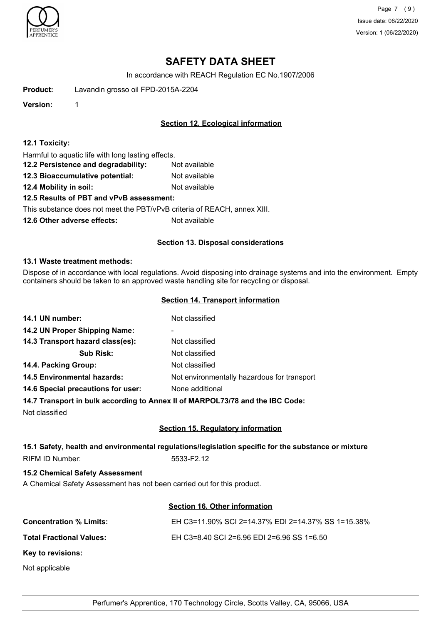

Page 7 (9) Issue date: 06/22/2020 Version: 1 (06/22/2020)

# **SAFETY DATA SHEET**

In accordance with REACH Regulation EC No.1907/2006

**Product:** Lavandin grosso oil FPD-2015A-2204

**Version:** 1

### **Section 12. Ecological information**

#### **12.1 Toxicity:**

Harmful to aquatic life with long lasting effects.

- **12.2 Persistence and degradability:** Not available
- **12.3 Bioaccumulative potential:** Not available
- **12.4 Mobility in soil:** Not available

### **12.5 Results of PBT and vPvB assessment:**

This substance does not meet the PBT/vPvB criteria of REACH, annex XIII.

**12.6 Other adverse effects:** Not available

### **Section 13. Disposal considerations**

#### **13.1 Waste treatment methods:**

Dispose of in accordance with local regulations. Avoid disposing into drainage systems and into the environment. Empty containers should be taken to an approved waste handling site for recycling or disposal.

#### **Section 14. Transport information**

| 14.1 UN number:                                                                | Not classified                              |
|--------------------------------------------------------------------------------|---------------------------------------------|
| 14.2 UN Proper Shipping Name:                                                  | ۰                                           |
| 14.3 Transport hazard class(es):                                               | Not classified                              |
| <b>Sub Risk:</b>                                                               | Not classified                              |
| 14.4. Packing Group:                                                           | Not classified                              |
| <b>14.5 Environmental hazards:</b>                                             | Not environmentally hazardous for transport |
| 14.6 Special precautions for user:                                             | None additional                             |
| 14.7 Transport in bulk according to Annoy II of MADDOI 72/78 and the IBC Code: |                                             |

**14.7 Transport in bulk according to Annex II of MARPOL73/78 and the IBC Code:**

Not classified

### **Section 15. Regulatory information**

## **15.1 Safety, health and environmental regulations/legislation specific for the substance or mixture**

RIFM ID Number: 5533-F2.12

### **15.2 Chemical Safety Assessment**

A Chemical Safety Assessment has not been carried out for this product.

### **Section 16. Other information**

| <b>Concentration % Limits:</b>  | EH C3=11.90% SCI 2=14.37% EDI 2=14.37% SS 1=15.38% |
|---------------------------------|----------------------------------------------------|
| <b>Total Fractional Values:</b> | EH C3=8.40 SCI 2=6.96 EDI 2=6.96 SS 1=6.50         |
| Key to revisions:               |                                                    |
| Not applicable                  |                                                    |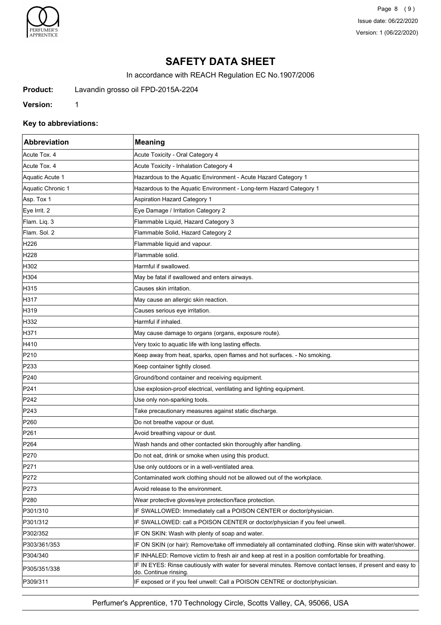

Page 8 (9) Issue date: 06/22/2020 Version: 1 (06/22/2020)

# **SAFETY DATA SHEET**

In accordance with REACH Regulation EC No.1907/2006

**Product:** Lavandin grosso oil FPD-2015A-2204

**Version:** 1

### **Key to abbreviations:**

| Abbreviation      | <b>Meaning</b>                                                                                                                      |
|-------------------|-------------------------------------------------------------------------------------------------------------------------------------|
| Acute Tox. 4      | Acute Toxicity - Oral Category 4                                                                                                    |
| Acute Tox. 4      | Acute Toxicity - Inhalation Category 4                                                                                              |
| Aquatic Acute 1   | Hazardous to the Aquatic Environment - Acute Hazard Category 1                                                                      |
| Aquatic Chronic 1 | Hazardous to the Aquatic Environment - Long-term Hazard Category 1                                                                  |
| Asp. Tox 1        | <b>Aspiration Hazard Category 1</b>                                                                                                 |
| Eye Irrit. 2      | Eye Damage / Irritation Category 2                                                                                                  |
| Flam. Liq. 3      | Flammable Liquid, Hazard Category 3                                                                                                 |
| Flam. Sol. 2      | Flammable Solid, Hazard Category 2                                                                                                  |
| H <sub>226</sub>  | Flammable liquid and vapour.                                                                                                        |
| H228              | Flammable solid.                                                                                                                    |
| H302              | Harmful if swallowed.                                                                                                               |
| H304              | May be fatal if swallowed and enters airways.                                                                                       |
| H315              | Causes skin irritation.                                                                                                             |
| H317              | May cause an allergic skin reaction.                                                                                                |
| H319              | Causes serious eye irritation.                                                                                                      |
| H332              | Harmful if inhaled.                                                                                                                 |
| H371              | May cause damage to organs (organs, exposure route).                                                                                |
| H410              | Very toxic to aquatic life with long lasting effects.                                                                               |
| P210              | Keep away from heat, sparks, open flames and hot surfaces. - No smoking.                                                            |
| P233              | Keep container tightly closed.                                                                                                      |
| P240              | Ground/bond container and receiving equipment.                                                                                      |
| P241              | Use explosion-proof electrical, ventilating and lighting equipment.                                                                 |
| P242              | Use only non-sparking tools.                                                                                                        |
| P243              | Take precautionary measures against static discharge.                                                                               |
| P <sub>260</sub>  | Do not breathe vapour or dust.                                                                                                      |
| P261              | Avoid breathing vapour or dust.                                                                                                     |
| P <sub>264</sub>  | Wash hands and other contacted skin thoroughly after handling.                                                                      |
| P270              | Do not eat, drink or smoke when using this product.                                                                                 |
| P271              | Use only outdoors or in a well-ventilated area                                                                                      |
| P272              | Contaminated work clothing should not be allowed out of the workplace.                                                              |
| P273              | Avoid release to the environment.                                                                                                   |
| P280              | Wear protective gloves/eye protection/face protection.                                                                              |
| P301/310          | IF SWALLOWED: Immediately call a POISON CENTER or doctor/physician.                                                                 |
| P301/312          | IF SWALLOWED: call a POISON CENTER or doctor/physician if you feel unwell.                                                          |
| P302/352          | IF ON SKIN: Wash with plenty of soap and water.                                                                                     |
| P303/361/353      | IF ON SKIN (or hair): Remove/take off immediately all contaminated clothing. Rinse skin with water/shower.                          |
| P304/340          | IF INHALED: Remove victim to fresh air and keep at rest in a position comfortable for breathing.                                    |
| P305/351/338      | IF IN EYES: Rinse cautiously with water for several minutes. Remove contact lenses, if present and easy to<br>do. Continue rinsing. |
| P309/311          | IF exposed or if you feel unwell: Call a POISON CENTRE or doctor/physician.                                                         |

Perfumer's Apprentice, 170 Technology Circle, Scotts Valley, CA, 95066, USA